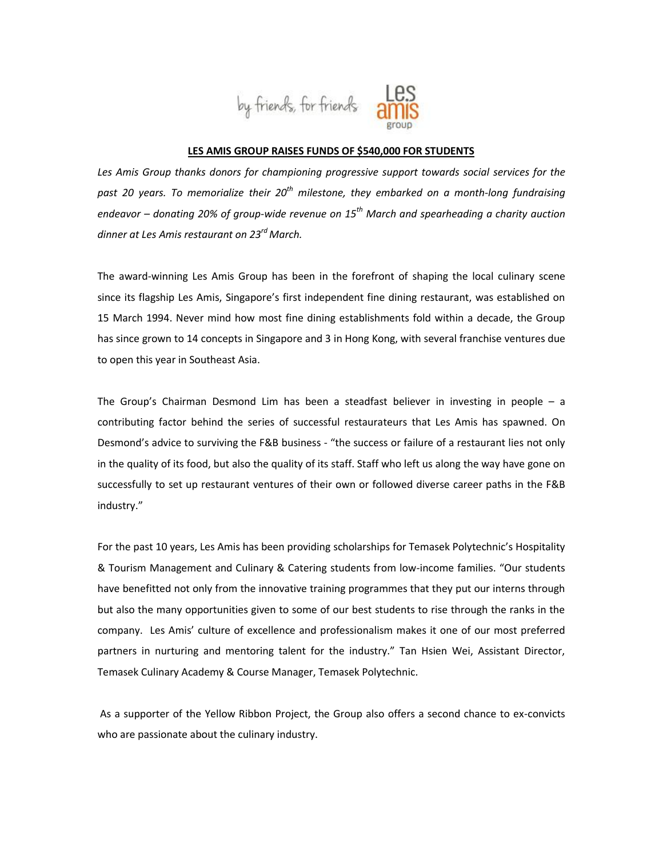

## **LES AMIS GROUP RAISES FUNDS OF \$540,000 FOR STUDENTS**

*Les Amis Group thanks donors for championing progressive support towards social services for the past 20 years. To memorialize their 20th milestone, they embarked on a month-long fundraising endeavor – donating 20% of group-wide revenue on 15th March and spearheading a charity auction dinner at Les Amis restaurant on 23rd March.*

The award-winning Les Amis Group has been in the forefront of shaping the local culinary scene since its flagship Les Amis, Singapore's first independent fine dining restaurant, was established on 15 March 1994. Never mind how most fine dining establishments fold within a decade, the Group has since grown to 14 concepts in Singapore and 3 in Hong Kong, with several franchise ventures due to open this year in Southeast Asia.

The Group's Chairman Desmond Lim has been a steadfast believer in investing in people – a contributing factor behind the series of successful restaurateurs that Les Amis has spawned. On Desmond's advice to surviving the F&B business - "the success or failure of a restaurant lies not only in the quality of its food, but also the quality of its staff. Staff who left us along the way have gone on successfully to set up restaurant ventures of their own or followed diverse career paths in the F&B industry."

For the past 10 years, Les Amis has been providing scholarships for Temasek Polytechnic's Hospitality & Tourism Management and Culinary & Catering students from low-income families. "Our students have benefitted not only from the innovative training programmes that they put our interns through but also the many opportunities given to some of our best students to rise through the ranks in the company. Les Amis' culture of excellence and professionalism makes it one of our most preferred partners in nurturing and mentoring talent for the industry." Tan Hsien Wei, Assistant Director, Temasek Culinary Academy & Course Manager, Temasek Polytechnic.

As a supporter of the Yellow Ribbon Project, the Group also offers a second chance to ex-convicts who are passionate about the culinary industry.